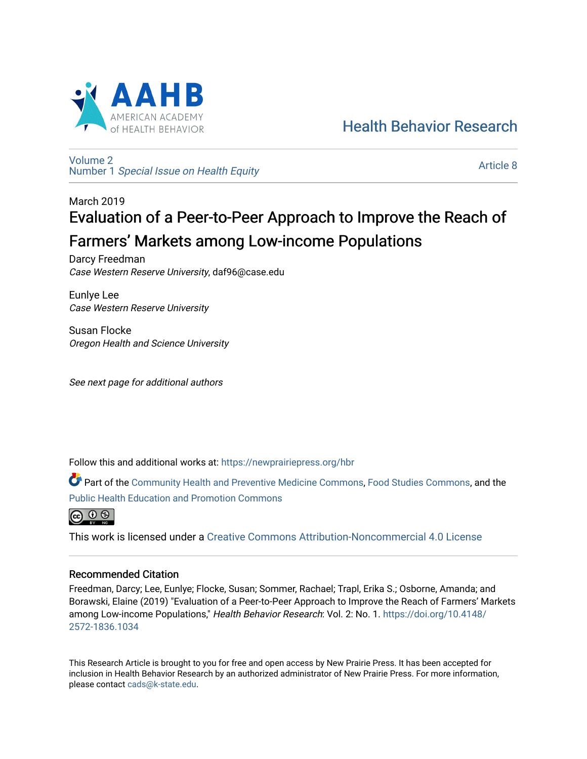

# [Health Behavior Research](https://newprairiepress.org/hbr)

[Volume 2](https://newprairiepress.org/hbr/vol2) Number 1 [Special Issue on Health Equity](https://newprairiepress.org/hbr/vol2/iss1) 

[Article 8](https://newprairiepress.org/hbr/vol2/iss1/8) 

# March 2019 Evaluation of a Peer-to-Peer Approach to Improve the Reach of Farmers' Markets among Low-income Populations

Darcy Freedman Case Western Reserve University, daf96@case.edu

Eunlye Lee Case Western Reserve University

Susan Flocke Oregon Health and Science University

See next page for additional authors

Follow this and additional works at: [https://newprairiepress.org/hbr](https://newprairiepress.org/hbr?utm_source=newprairiepress.org%2Fhbr%2Fvol2%2Fiss1%2F8&utm_medium=PDF&utm_campaign=PDFCoverPages) 

Part of the [Community Health and Preventive Medicine Commons](http://network.bepress.com/hgg/discipline/744?utm_source=newprairiepress.org%2Fhbr%2Fvol2%2Fiss1%2F8&utm_medium=PDF&utm_campaign=PDFCoverPages), [Food Studies Commons,](http://network.bepress.com/hgg/discipline/1386?utm_source=newprairiepress.org%2Fhbr%2Fvol2%2Fiss1%2F8&utm_medium=PDF&utm_campaign=PDFCoverPages) and the [Public Health Education and Promotion Commons](http://network.bepress.com/hgg/discipline/743?utm_source=newprairiepress.org%2Fhbr%2Fvol2%2Fiss1%2F8&utm_medium=PDF&utm_campaign=PDFCoverPages) 



This work is licensed under a [Creative Commons Attribution-Noncommercial 4.0 License](https://creativecommons.org/licenses/by-nc/4.0/)

### Recommended Citation

Freedman, Darcy; Lee, Eunlye; Flocke, Susan; Sommer, Rachael; Trapl, Erika S.; Osborne, Amanda; and Borawski, Elaine (2019) "Evaluation of a Peer-to-Peer Approach to Improve the Reach of Farmers' Markets among Low-income Populations," Health Behavior Research: Vol. 2: No. 1. [https://doi.org/10.4148/](https://doi.org/10.4148/2572-1836.1034) [2572-1836.1034](https://doi.org/10.4148/2572-1836.1034) 

This Research Article is brought to you for free and open access by New Prairie Press. It has been accepted for inclusion in Health Behavior Research by an authorized administrator of New Prairie Press. For more information, please contact [cads@k-state.edu.](mailto:cads@k-state.edu)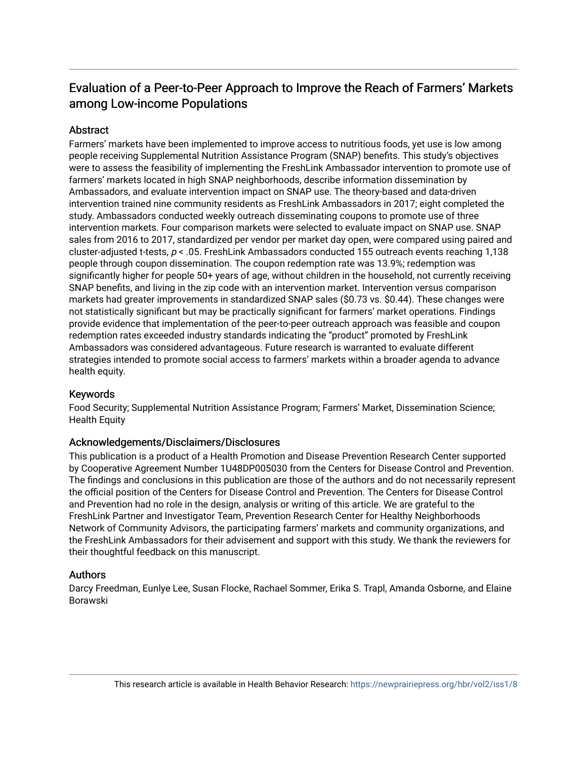## Evaluation of a Peer-to-Peer Approach to Improve the Reach of Farmers' Markets among Low-income Populations

### **Abstract**

Farmers' markets have been implemented to improve access to nutritious foods, yet use is low among people receiving Supplemental Nutrition Assistance Program (SNAP) benefits. This study's objectives were to assess the feasibility of implementing the FreshLink Ambassador intervention to promote use of farmers' markets located in high SNAP neighborhoods, describe information dissemination by Ambassadors, and evaluate intervention impact on SNAP use. The theory-based and data-driven intervention trained nine community residents as FreshLink Ambassadors in 2017; eight completed the study. Ambassadors conducted weekly outreach disseminating coupons to promote use of three intervention markets. Four comparison markets were selected to evaluate impact on SNAP use. SNAP sales from 2016 to 2017, standardized per vendor per market day open, were compared using paired and cluster-adjusted t-tests, p < .05. FreshLink Ambassadors conducted 155 outreach events reaching 1,138 people through coupon dissemination. The coupon redemption rate was 13.9%; redemption was significantly higher for people 50+ years of age, without children in the household, not currently receiving SNAP benefits, and living in the zip code with an intervention market. Intervention versus comparison markets had greater improvements in standardized SNAP sales (\$0.73 vs. \$0.44). These changes were not statistically significant but may be practically significant for farmers' market operations. Findings provide evidence that implementation of the peer-to-peer outreach approach was feasible and coupon redemption rates exceeded industry standards indicating the "product" promoted by FreshLink Ambassadors was considered advantageous. Future research is warranted to evaluate different strategies intended to promote social access to farmers' markets within a broader agenda to advance health equity.

### Keywords

Food Security; Supplemental Nutrition Assistance Program; Farmers' Market, Dissemination Science; Health Equity

### Acknowledgements/Disclaimers/Disclosures

This publication is a product of a Health Promotion and Disease Prevention Research Center supported by Cooperative Agreement Number 1U48DP005030 from the Centers for Disease Control and Prevention. The findings and conclusions in this publication are those of the authors and do not necessarily represent the official position of the Centers for Disease Control and Prevention. The Centers for Disease Control and Prevention had no role in the design, analysis or writing of this article. We are grateful to the FreshLink Partner and Investigator Team, Prevention Research Center for Healthy Neighborhoods Network of Community Advisors, the participating farmers' markets and community organizations, and the FreshLink Ambassadors for their advisement and support with this study. We thank the reviewers for their thoughtful feedback on this manuscript.

### Authors

Darcy Freedman, Eunlye Lee, Susan Flocke, Rachael Sommer, Erika S. Trapl, Amanda Osborne, and Elaine Borawski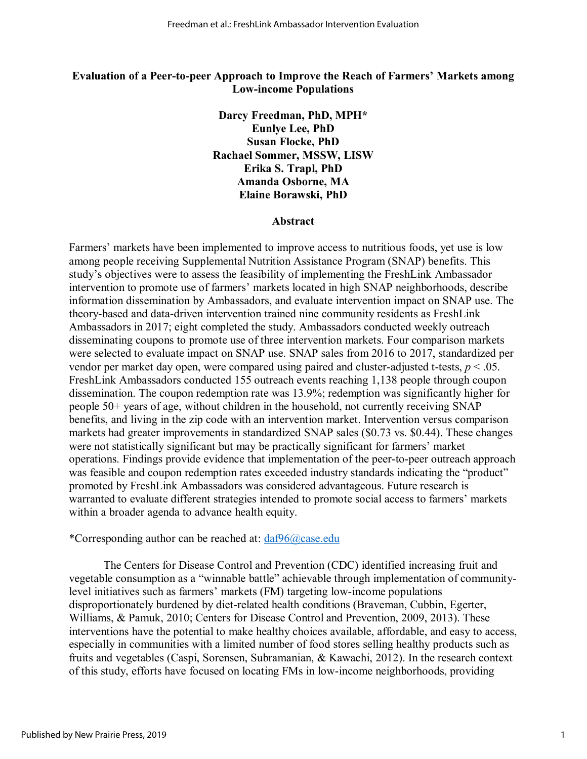#### **Evaluation of a Peer-to-peer Approach to Improve the Reach of Farmers' Markets among Low-income Populations**

**Darcy Freedman, PhD, MPH\* Eunlye Lee, PhD Susan Flocke, PhD Rachael Sommer, MSSW, LISW Erika S. Trapl, PhD Amanda Osborne, MA Elaine Borawski, PhD** 

#### **Abstract**

Farmers' markets have been implemented to improve access to nutritious foods, yet use is low among people receiving Supplemental Nutrition Assistance Program (SNAP) benefits. This study's objectives were to assess the feasibility of implementing the FreshLink Ambassador intervention to promote use of farmers' markets located in high SNAP neighborhoods, describe information dissemination by Ambassadors, and evaluate intervention impact on SNAP use. The theory-based and data-driven intervention trained nine community residents as FreshLink Ambassadors in 2017; eight completed the study. Ambassadors conducted weekly outreach disseminating coupons to promote use of three intervention markets. Four comparison markets were selected to evaluate impact on SNAP use. SNAP sales from 2016 to 2017, standardized per vendor per market day open, were compared using paired and cluster-adjusted t-tests, *p* < .05. FreshLink Ambassadors conducted 155 outreach events reaching 1,138 people through coupon dissemination. The coupon redemption rate was 13.9%; redemption was significantly higher for people 50+ years of age, without children in the household, not currently receiving SNAP benefits, and living in the zip code with an intervention market. Intervention versus comparison markets had greater improvements in standardized SNAP sales (\$0.73 vs. \$0.44). These changes were not statistically significant but may be practically significant for farmers' market operations. Findings provide evidence that implementation of the peer-to-peer outreach approach was feasible and coupon redemption rates exceeded industry standards indicating the "product" promoted by FreshLink Ambassadors was considered advantageous. Future research is warranted to evaluate different strategies intended to promote social access to farmers' markets within a broader agenda to advance health equity.

#### \*Corresponding author can be reached at: [daf96@case.edu](mailto:daf96@case.edu)

The Centers for Disease Control and Prevention (CDC) identified increasing fruit and vegetable consumption as a "winnable battle" achievable through implementation of communitylevel initiatives such as farmers' markets (FM) targeting low-income populations disproportionately burdened by diet-related health conditions (Braveman, Cubbin, Egerter, Williams, & Pamuk, 2010; Centers for Disease Control and Prevention, 2009, 2013). These interventions have the potential to make healthy choices available, affordable, and easy to access, especially in communities with a limited number of food stores selling healthy products such as fruits and vegetables (Caspi, Sorensen, Subramanian, & Kawachi, 2012). In the research context of this study, efforts have focused on locating FMs in low-income neighborhoods, providing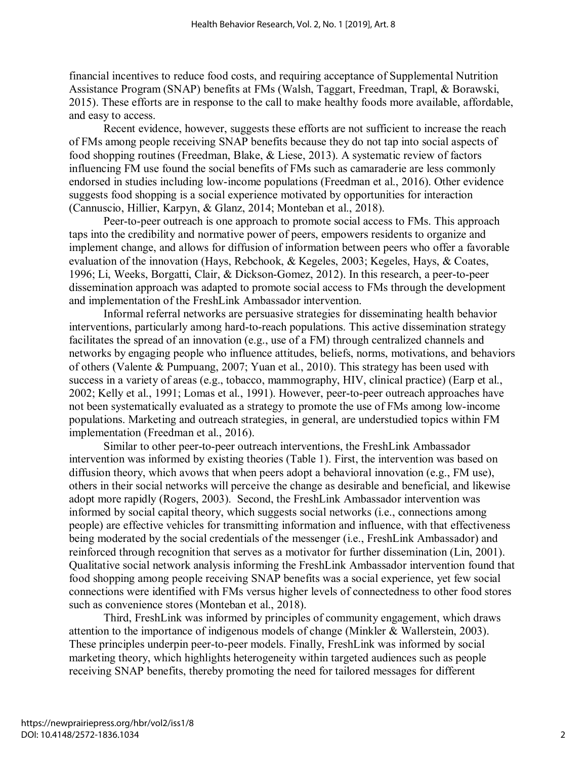financial incentives to reduce food costs, and requiring acceptance of Supplemental Nutrition Assistance Program (SNAP) benefits at FMs (Walsh, Taggart, Freedman, Trapl, & Borawski, 2015). These efforts are in response to the call to make healthy foods more available, affordable, and easy to access.

Recent evidence, however, suggests these efforts are not sufficient to increase the reach of FMs among people receiving SNAP benefits because they do not tap into social aspects of food shopping routines (Freedman, Blake, & Liese, 2013). A systematic review of factors influencing FM use found the social benefits of FMs such as camaraderie are less commonly endorsed in studies including low-income populations (Freedman et al., 2016). Other evidence suggests food shopping is a social experience motivated by opportunities for interaction (Cannuscio, Hillier, Karpyn, & Glanz, 2014; Monteban et al., 2018).

Peer-to-peer outreach is one approach to promote social access to FMs. This approach taps into the credibility and normative power of peers, empowers residents to organize and implement change, and allows for diffusion of information between peers who offer a favorable evaluation of the innovation (Hays, Rebchook, & Kegeles, 2003; Kegeles, Hays, & Coates, 1996; Li, Weeks, Borgatti, Clair, & Dickson-Gomez, 2012). In this research, a peer-to-peer dissemination approach was adapted to promote social access to FMs through the development and implementation of the FreshLink Ambassador intervention.

Informal referral networks are persuasive strategies for disseminating health behavior interventions, particularly among hard-to-reach populations. This active dissemination strategy facilitates the spread of an innovation (e.g., use of a FM) through centralized channels and networks by engaging people who influence attitudes, beliefs, norms, motivations, and behaviors of others (Valente & Pumpuang, 2007; Yuan et al., 2010). This strategy has been used with success in a variety of areas (e.g., tobacco, mammography, HIV, clinical practice) (Earp et al., 2002; Kelly et al., 1991; Lomas et al., 1991). However, peer-to-peer outreach approaches have not been systematically evaluated as a strategy to promote the use of FMs among low-income populations. Marketing and outreach strategies, in general, are understudied topics within FM implementation (Freedman et al., 2016).

Similar to other peer-to-peer outreach interventions, the FreshLink Ambassador intervention was informed by existing theories (Table 1). First, the intervention was based on diffusion theory, which avows that when peers adopt a behavioral innovation (e.g., FM use), others in their social networks will perceive the change as desirable and beneficial, and likewise adopt more rapidly (Rogers, 2003). Second, the FreshLink Ambassador intervention was informed by social capital theory, which suggests social networks (i.e., connections among people) are effective vehicles for transmitting information and influence, with that effectiveness being moderated by the social credentials of the messenger (i.e., FreshLink Ambassador) and reinforced through recognition that serves as a motivator for further dissemination (Lin, 2001). Qualitative social network analysis informing the FreshLink Ambassador intervention found that food shopping among people receiving SNAP benefits was a social experience, yet few social connections were identified with FMs versus higher levels of connectedness to other food stores such as convenience stores (Monteban et al., 2018).

Third, FreshLink was informed by principles of community engagement, which draws attention to the importance of indigenous models of change (Minkler & Wallerstein, 2003). These principles underpin peer-to-peer models. Finally, FreshLink was informed by social marketing theory, which highlights heterogeneity within targeted audiences such as people receiving SNAP benefits, thereby promoting the need for tailored messages for different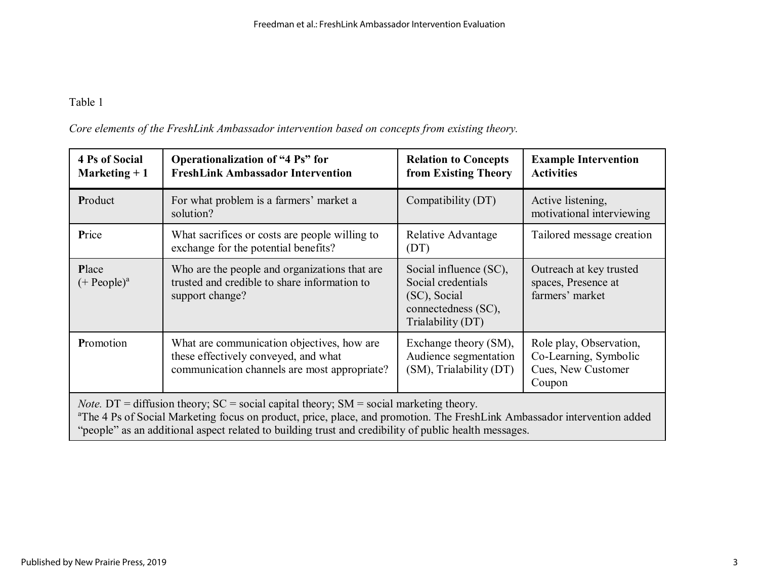| Core elements of the FreshLink Ambassador intervention based on concepts from existing theory. |  |  |
|------------------------------------------------------------------------------------------------|--|--|
|                                                                                                |  |  |

| <b>4 Ps of Social</b><br>Marketing $+1$                                                                                                                                                                                                                                                                                                            | <b>Operationalization of "4 Ps" for</b><br><b>FreshLink Ambassador Intervention</b>                                                | <b>Relation to Concepts</b><br>from Existing Theory                                                      | <b>Example Intervention</b><br><b>Activities</b>                                 |  |  |  |
|----------------------------------------------------------------------------------------------------------------------------------------------------------------------------------------------------------------------------------------------------------------------------------------------------------------------------------------------------|------------------------------------------------------------------------------------------------------------------------------------|----------------------------------------------------------------------------------------------------------|----------------------------------------------------------------------------------|--|--|--|
| Product                                                                                                                                                                                                                                                                                                                                            | For what problem is a farmers' market a<br>solution?                                                                               | Compatibility (DT)                                                                                       | Active listening,<br>motivational interviewing                                   |  |  |  |
| Price                                                                                                                                                                                                                                                                                                                                              | What sacrifices or costs are people willing to<br>exchange for the potential benefits?                                             | Relative Advantage<br>(DT)                                                                               | Tailored message creation                                                        |  |  |  |
| Place<br>$(+$ People) <sup>a</sup>                                                                                                                                                                                                                                                                                                                 | Who are the people and organizations that are<br>trusted and credible to share information to<br>support change?                   | Social influence (SC),<br>Social credentials<br>(SC), Social<br>connectedness (SC),<br>Trialability (DT) | Outreach at key trusted<br>spaces, Presence at<br>farmers' market                |  |  |  |
| Promotion                                                                                                                                                                                                                                                                                                                                          | What are communication objectives, how are<br>these effectively conveyed, and what<br>communication channels are most appropriate? | Exchange theory (SM),<br>Audience segmentation<br>(SM), Trialability (DT)                                | Role play, Observation,<br>Co-Learning, Symbolic<br>Cues, New Customer<br>Coupon |  |  |  |
| <i>Note.</i> DT = diffusion theory; $SC = social$ capital theory; $SM = social$ marketing theory.<br><sup>a</sup> The 4 Ps of Social Marketing focus on product, price, place, and promotion. The FreshLink Ambassador intervention added<br>"people" as an additional aspect related to building trust and credibility of public health messages. |                                                                                                                                    |                                                                                                          |                                                                                  |  |  |  |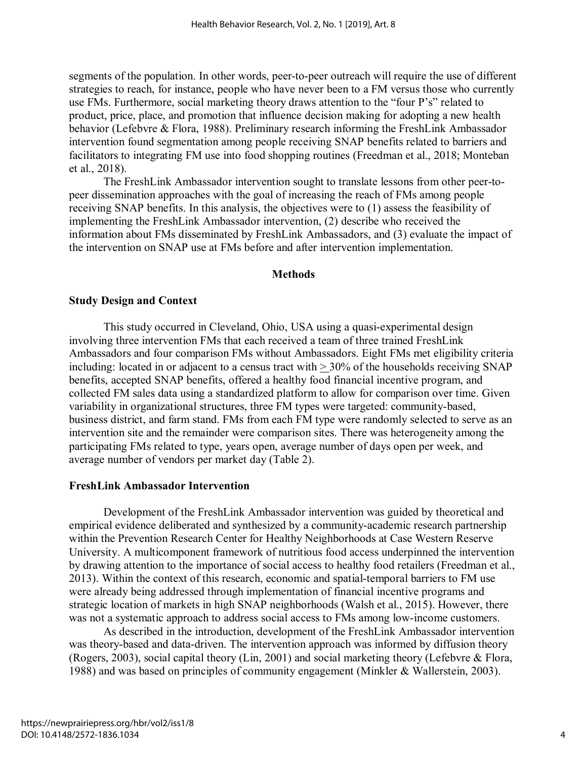segments of the population. In other words, peer-to-peer outreach will require the use of different strategies to reach, for instance, people who have never been to a FM versus those who currently use FMs. Furthermore, social marketing theory draws attention to the "four P's" related to product, price, place, and promotion that influence decision making for adopting a new health behavior (Lefebvre & Flora, 1988). Preliminary research informing the FreshLink Ambassador intervention found segmentation among people receiving SNAP benefits related to barriers and facilitators to integrating FM use into food shopping routines (Freedman et al., 2018; Monteban et al., 2018).

The FreshLink Ambassador intervention sought to translate lessons from other peer-topeer dissemination approaches with the goal of increasing the reach of FMs among people receiving SNAP benefits. In this analysis, the objectives were to (1) assess the feasibility of implementing the FreshLink Ambassador intervention, (2) describe who received the information about FMs disseminated by FreshLink Ambassadors, and (3) evaluate the impact of the intervention on SNAP use at FMs before and after intervention implementation.

#### **Methods**

#### **Study Design and Context**

This study occurred in Cleveland, Ohio, USA using a quasi-experimental design involving three intervention FMs that each received a team of three trained FreshLink Ambassadors and four comparison FMs without Ambassadors. Eight FMs met eligibility criteria including: located in or adjacent to a census tract with > 30% of the households receiving SNAP benefits, accepted SNAP benefits, offered a healthy food financial incentive program, and collected FM sales data using a standardized platform to allow for comparison over time. Given variability in organizational structures, three FM types were targeted: community-based, business district, and farm stand. FMs from each FM type were randomly selected to serve as an intervention site and the remainder were comparison sites. There was heterogeneity among the participating FMs related to type, years open, average number of days open per week, and average number of vendors per market day (Table 2).

#### **FreshLink Ambassador Intervention**

Development of the FreshLink Ambassador intervention was guided by theoretical and empirical evidence deliberated and synthesized by a community-academic research partnership within the Prevention Research Center for Healthy Neighborhoods at Case Western Reserve University. A multicomponent framework of nutritious food access underpinned the intervention by drawing attention to the importance of social access to healthy food retailers (Freedman et al., 2013). Within the context of this research, economic and spatial-temporal barriers to FM use were already being addressed through implementation of financial incentive programs and strategic location of markets in high SNAP neighborhoods (Walsh et al., 2015). However, there was not a systematic approach to address social access to FMs among low-income customers.

As described in the introduction, development of the FreshLink Ambassador intervention was theory-based and data-driven. The intervention approach was informed by diffusion theory (Rogers, 2003), social capital theory (Lin, 2001) and social marketing theory (Lefebvre & Flora, 1988) and was based on principles of community engagement (Minkler & Wallerstein, 2003).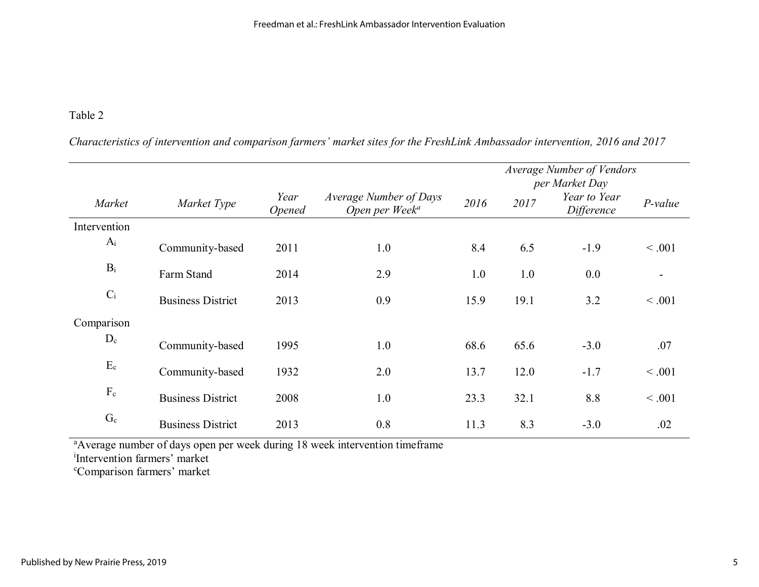*Characteristics of intervention and comparison farmers' market sites for the FreshLink Ambassador intervention, 2016 and 2017*

|              |                          |                              |                                                      |      | Average Number of Vendors<br>per Market Day |                            |                |
|--------------|--------------------------|------------------------------|------------------------------------------------------|------|---------------------------------------------|----------------------------|----------------|
| Market       | Market Type              | Year<br><i><b>Opened</b></i> | Average Number of Days<br>Open per Week <sup>a</sup> | 2016 | 2017                                        | Year to Year<br>Difference | $P-value$      |
| Intervention |                          |                              |                                                      |      |                                             |                            |                |
| $A_i$        | Community-based          | 2011                         | 1.0                                                  | 8.4  | 6.5                                         | $-1.9$                     | < .001         |
| $B_i$        | Farm Stand               | 2014                         | 2.9                                                  | 1.0  | 1.0                                         | 0.0                        | $\blacksquare$ |
| $C_i$        | <b>Business District</b> | 2013                         | 0.9                                                  | 15.9 | 19.1                                        | 3.2                        | < 0.001        |
| Comparison   |                          |                              |                                                      |      |                                             |                            |                |
| $D_c$        | Community-based          | 1995                         | 1.0                                                  | 68.6 | 65.6                                        | $-3.0$                     | .07            |
| $E_c$        | Community-based          | 1932                         | 2.0                                                  | 13.7 | 12.0                                        | $-1.7$                     | < 0.001        |
| $F_c$        | <b>Business District</b> | 2008                         | 1.0                                                  | 23.3 | 32.1                                        | 8.8                        | < .001         |
| $G_c$        | <b>Business District</b> | 2013                         | 0.8                                                  | 11.3 | 8.3                                         | $-3.0$                     | .02            |

<sup>a</sup>Average number of days open per week during 18 week intervention timeframe

i Intervention farmers' market

c Comparison farmers' market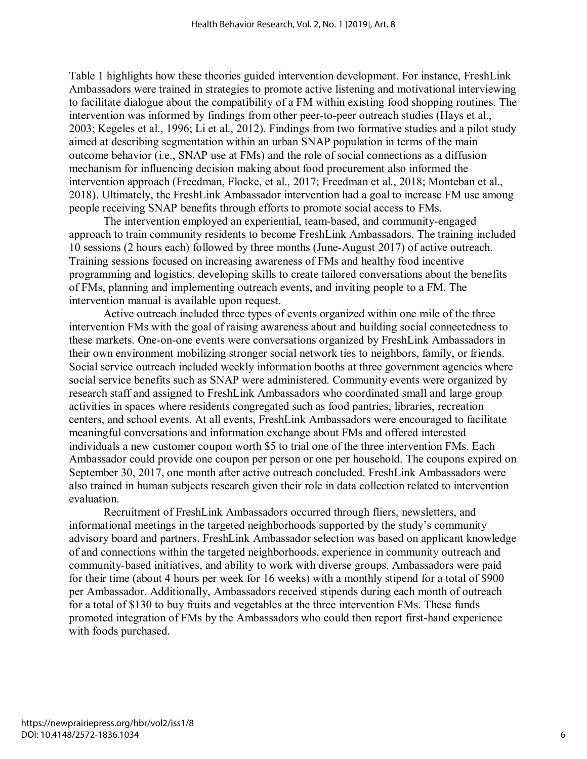Table 1 highlights how these theories guided intervention development. For instance, FreshLink Ambassadors were trained in strategies to promote active listening and motivational interviewing to facilitate dialogue about the compatibility of a FM within existing food shopping routines. The intervention was informed by findings from other peer-to-peer outreach studies (Hays et al., 2003; Kegeles et al., 1996; Li et al., 2012). Findings from two formative studies and a pilot study aimed at describing segmentation within an urban SNAP population in terms of the main outcome behavior (i.e., SNAP use at FMs) and the role of social connections as a diffusion mechanism for influencing decision making about food procurement also informed the intervention approach (Freedman, Flocke, et al., 2017; Freedman et al., 2018; Monteban et al., 2018). Ultimately, the FreshLink Ambassador intervention had a goal to increase FM use among people receiving SNAP benefits through efforts to promote social access to FMs.

The intervention employed an experiential, team-based, and community-engaged approach to train community residents to become FreshLink Ambassadors. The training included 10 sessions (2 hours each) followed by three months (June-August 2017) of active outreach. Training sessions focused on increasing awareness of FMs and healthy food incentive programming and logistics, developing skills to create tailored conversations about the benefits of FMs, planning and implementing outreach events, and inviting people to a FM. The intervention manual is available upon request.

Active outreach included three types of events organized within one mile of the three intervention FMs with the goal of raising awareness about and building social connectedness to these markets. One-on-one events were conversations organized by FreshLink Ambassadors in their own environment mobilizing stronger social network ties to neighbors, family, or friends. Social service outreach included weekly information booths at three government agencies where social service benefits such as SNAP were administered. Community events were organized by research staff and assigned to FreshLink Ambassadors who coordinated small and large group activities in spaces where residents congregated such as food pantries, libraries, recreation centers, and school events. At all events, FreshLink Ambassadors were encouraged to facilitate meaningful conversations and information exchange about FMs and offered interested individuals a new customer coupon worth \$5 to trial one of the three intervention FMs. Each Ambassador could provide one coupon per person or one per household. The coupons expired on September 30, 2017, one month after active outreach concluded. FreshLink Ambassadors were also trained in human subjects research given their role in data collection related to intervention evaluation.

Recruitment of FreshLink Ambassadors occurred through fliers, newsletters, and informational meetings in the targeted neighborhoods supported by the study's community advisory board and partners. FreshLink Ambassador selection was based on applicant knowledge of and connections within the targeted neighborhoods, experience in community outreach and community-based initiatives, and ability to work with diverse groups. Ambassadors were paid for their time (about 4 hours per week for 16 weeks) with a monthly stipend for a total of \$900 per Ambassador. Additionally, Ambassadors received stipends during each month of outreach for a total of \$130 to buy fruits and vegetables at the three intervention FMs. These funds promoted integration of FMs by the Ambassadors who could then report first-hand experience with foods purchased.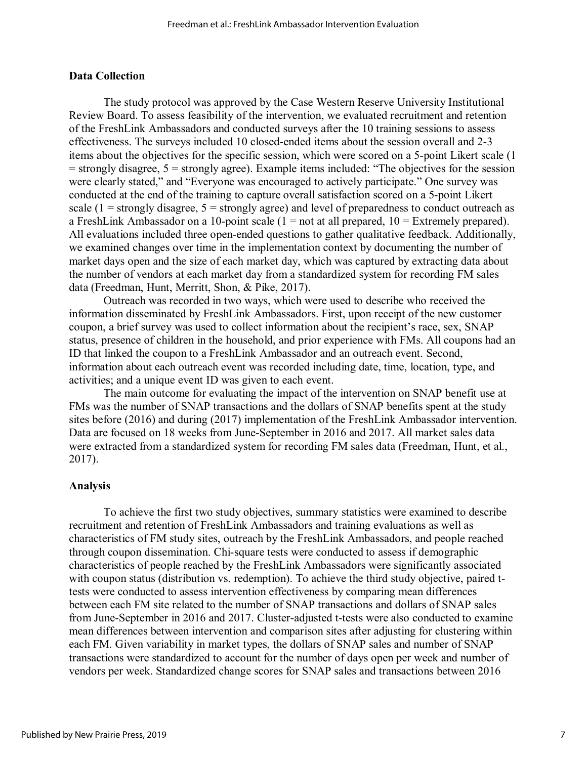#### **Data Collection**

The study protocol was approved by the Case Western Reserve University Institutional Review Board. To assess feasibility of the intervention, we evaluated recruitment and retention of the FreshLink Ambassadors and conducted surveys after the 10 training sessions to assess effectiveness. The surveys included 10 closed-ended items about the session overall and 2-3 items about the objectives for the specific session, which were scored on a 5-point Likert scale (1  $=$  strongly disagree,  $5 =$  strongly agree). Example items included: "The objectives for the session were clearly stated," and "Everyone was encouraged to actively participate." One survey was conducted at the end of the training to capture overall satisfaction scored on a 5-point Likert scale  $(1 =$  strongly disagree,  $5 =$  strongly agree) and level of preparedness to conduct outreach as a FreshLink Ambassador on a 10-point scale  $(1 = not at all prepared, 10 = Extremely prepared)$ . All evaluations included three open-ended questions to gather qualitative feedback. Additionally, we examined changes over time in the implementation context by documenting the number of market days open and the size of each market day, which was captured by extracting data about the number of vendors at each market day from a standardized system for recording FM sales data (Freedman, Hunt, Merritt, Shon, & Pike, 2017).

Outreach was recorded in two ways, which were used to describe who received the information disseminated by FreshLink Ambassadors. First, upon receipt of the new customer coupon, a brief survey was used to collect information about the recipient's race, sex, SNAP status, presence of children in the household, and prior experience with FMs. All coupons had an ID that linked the coupon to a FreshLink Ambassador and an outreach event. Second, information about each outreach event was recorded including date, time, location, type, and activities; and a unique event ID was given to each event.

The main outcome for evaluating the impact of the intervention on SNAP benefit use at FMs was the number of SNAP transactions and the dollars of SNAP benefits spent at the study sites before (2016) and during (2017) implementation of the FreshLink Ambassador intervention. Data are focused on 18 weeks from June-September in 2016 and 2017. All market sales data were extracted from a standardized system for recording FM sales data (Freedman, Hunt, et al., 2017).

#### **Analysis**

To achieve the first two study objectives, summary statistics were examined to describe recruitment and retention of FreshLink Ambassadors and training evaluations as well as characteristics of FM study sites, outreach by the FreshLink Ambassadors, and people reached through coupon dissemination. Chi-square tests were conducted to assess if demographic characteristics of people reached by the FreshLink Ambassadors were significantly associated with coupon status (distribution vs. redemption). To achieve the third study objective, paired ttests were conducted to assess intervention effectiveness by comparing mean differences between each FM site related to the number of SNAP transactions and dollars of SNAP sales from June-September in 2016 and 2017. Cluster-adjusted t-tests were also conducted to examine mean differences between intervention and comparison sites after adjusting for clustering within each FM. Given variability in market types, the dollars of SNAP sales and number of SNAP transactions were standardized to account for the number of days open per week and number of vendors per week. Standardized change scores for SNAP sales and transactions between 2016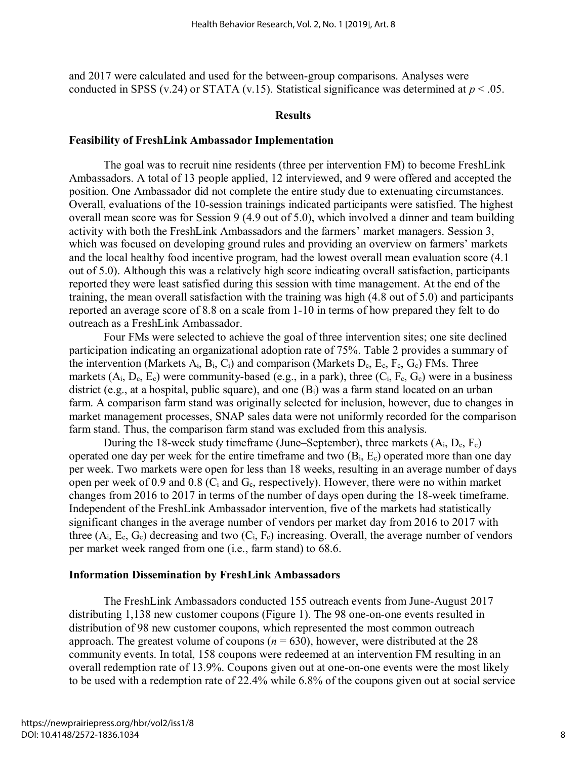and 2017 were calculated and used for the between-group comparisons. Analyses were conducted in SPSS (v.24) or STATA (v.15). Statistical significance was determined at  $p < .05$ .

#### **Results**

#### **Feasibility of FreshLink Ambassador Implementation**

The goal was to recruit nine residents (three per intervention FM) to become FreshLink Ambassadors. A total of 13 people applied, 12 interviewed, and 9 were offered and accepted the position. One Ambassador did not complete the entire study due to extenuating circumstances. Overall, evaluations of the 10-session trainings indicated participants were satisfied. The highest overall mean score was for Session 9 (4.9 out of 5.0), which involved a dinner and team building activity with both the FreshLink Ambassadors and the farmers' market managers. Session 3, which was focused on developing ground rules and providing an overview on farmers' markets and the local healthy food incentive program, had the lowest overall mean evaluation score (4.1 out of 5.0). Although this was a relatively high score indicating overall satisfaction, participants reported they were least satisfied during this session with time management. At the end of the training, the mean overall satisfaction with the training was high (4.8 out of 5.0) and participants reported an average score of 8.8 on a scale from 1-10 in terms of how prepared they felt to do outreach as a FreshLink Ambassador.

Four FMs were selected to achieve the goal of three intervention sites; one site declined participation indicating an organizational adoption rate of 75%. Table 2 provides a summary of the intervention (Markets  $A_i$ ,  $B_i$ ,  $C_i$ ) and comparison (Markets  $D_c$ ,  $E_c$ ,  $F_c$ ,  $G_c$ ) FMs. Three markets  $(A_i, D_c, E_c)$  were community-based (e.g., in a park), three  $(C_i, F_c, G_c)$  were in a business district (e.g., at a hospital, public square), and one  $(B<sub>i</sub>)$  was a farm stand located on an urban farm. A comparison farm stand was originally selected for inclusion, however, due to changes in market management processes, SNAP sales data were not uniformly recorded for the comparison farm stand. Thus, the comparison farm stand was excluded from this analysis.

During the 18-week study timeframe (June–September), three markets  $(A_i, D_c, F_c)$ operated one day per week for the entire timeframe and two  $(B_i, E_c)$  operated more than one day per week. Two markets were open for less than 18 weeks, resulting in an average number of days open per week of 0.9 and 0.8 ( $C_i$  and  $G_c$ , respectively). However, there were no within market changes from 2016 to 2017 in terms of the number of days open during the 18-week timeframe. Independent of the FreshLink Ambassador intervention, five of the markets had statistically significant changes in the average number of vendors per market day from 2016 to 2017 with three  $(A_i, E_c, G_c)$  decreasing and two  $(C_i, F_c)$  increasing. Overall, the average number of vendors per market week ranged from one (i.e., farm stand) to 68.6.

#### **Information Dissemination by FreshLink Ambassadors**

The FreshLink Ambassadors conducted 155 outreach events from June-August 2017 distributing 1,138 new customer coupons (Figure 1). The 98 one-on-one events resulted in distribution of 98 new customer coupons, which represented the most common outreach approach. The greatest volume of coupons  $(n = 630)$ , however, were distributed at the 28 community events. In total, 158 coupons were redeemed at an intervention FM resulting in an overall redemption rate of 13.9%. Coupons given out at one-on-one events were the most likely to be used with a redemption rate of 22.4% while 6.8% of the coupons given out at social service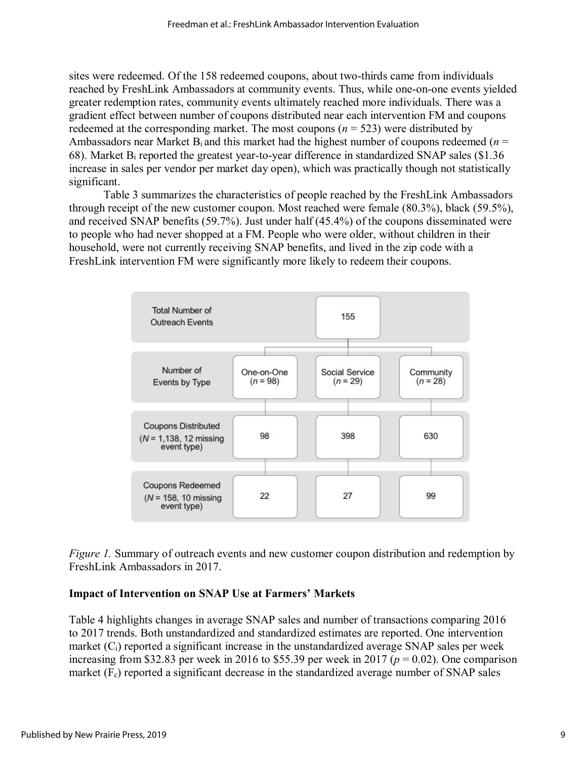sites were redeemed. Of the 158 redeemed coupons, about two-thirds came from individuals reached by FreshLink Ambassadors at community events. Thus, while one-on-one events yielded greater redemption rates, community events ultimately reached more individuals. There was a gradient effect between number of coupons distributed near each intervention FM and coupons redeemed at the corresponding market. The most coupons  $(n = 523)$  were distributed by Ambassadors near Market  $B_i$  and this market had the highest number of coupons redeemed ( $n =$ 68). Market Bi reported the greatest year-to-year difference in standardized SNAP sales (\$1.36 increase in sales per vendor per market day open), which was practically though not statistically significant.

Table 3 summarizes the characteristics of people reached by the FreshLink Ambassadors through receipt of the new customer coupon. Most reached were female (80.3%), black (59.5%), and received SNAP benefits (59.7%). Just under half (45.4%) of the coupons disseminated were to people who had never shopped at a FM. People who were older, without children in their household, were not currently receiving SNAP benefits, and lived in the zip code with a FreshLink intervention FM were significantly more likely to redeem their coupons.



*Figure 1.* Summary of outreach events and new customer coupon distribution and redemption by FreshLink Ambassadors in 2017.

### **Impact of Intervention on SNAP Use at Farmers' Markets**

Table 4 highlights changes in average SNAP sales and number of transactions comparing 2016 to 2017 trends. Both unstandardized and standardized estimates are reported. One intervention market  $(C_i)$  reported a significant increase in the unstandardized average SNAP sales per week increasing from \$32.83 per week in 2016 to \$55.39 per week in 2017 ( $p = 0.02$ ). One comparison market  $(F<sub>c</sub>)$  reported a significant decrease in the standardized average number of SNAP sales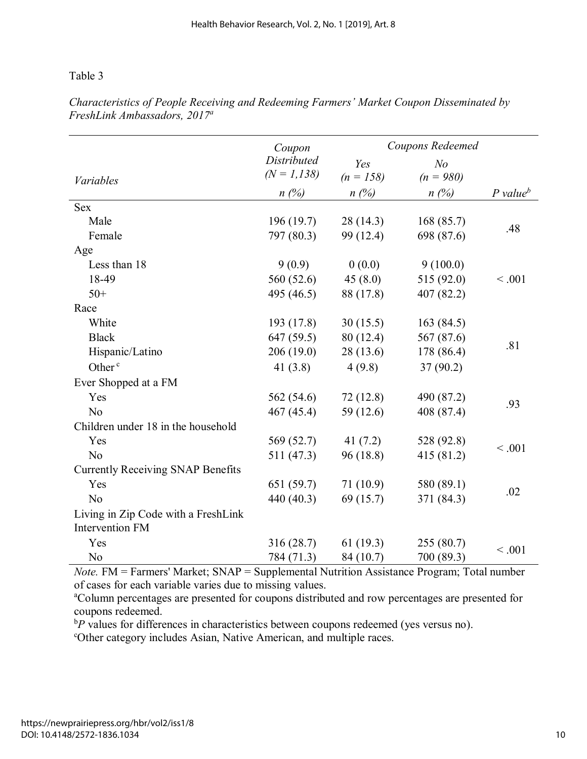|                                                               | Coupon         |             | Coupons Redeemed |                        |  |  |
|---------------------------------------------------------------|----------------|-------------|------------------|------------------------|--|--|
|                                                               | Distributed    | Yes         | N <sub>o</sub>   |                        |  |  |
| Variables                                                     | $(N = 1, 138)$ | $(n = 158)$ | $(n = 980)$      |                        |  |  |
|                                                               | $n(\%)$        | $n(\%)$     | $n(\%)$          | $P$ value <sup>b</sup> |  |  |
| <b>Sex</b>                                                    |                |             |                  |                        |  |  |
| Male                                                          | 196 (19.7)     | 28 (14.3)   | 168(85.7)        | .48                    |  |  |
| Female                                                        | 797 (80.3)     | 99 (12.4)   | 698 (87.6)       |                        |  |  |
| Age                                                           |                |             |                  |                        |  |  |
| Less than 18                                                  | 9(0.9)         | 0(0.0)      | 9(100.0)         |                        |  |  |
| 18-49                                                         | 560 (52.6)     | 45(8.0)     | 515 (92.0)       | < .001                 |  |  |
| $50+$                                                         | 495 (46.5)     | 88 (17.8)   | 407(82.2)        |                        |  |  |
| Race                                                          |                |             |                  |                        |  |  |
| White                                                         | 193 (17.8)     | 30(15.5)    | 163(84.5)        |                        |  |  |
| <b>Black</b>                                                  | 647 (59.5)     | 80 (12.4)   | 567 (87.6)       |                        |  |  |
| Hispanic/Latino                                               | 206 (19.0)     | 28 (13.6)   | 178 (86.4)       | .81                    |  |  |
| Other <sup>c</sup>                                            | 41 $(3.8)$     | 4(9.8)      | 37(90.2)         |                        |  |  |
| Ever Shopped at a FM                                          |                |             |                  |                        |  |  |
| Yes                                                           | 562 (54.6)     | 72(12.8)    | 490 (87.2)       |                        |  |  |
| No                                                            | 467 (45.4)     | 59 (12.6)   | 408 (87.4)       | .93                    |  |  |
| Children under 18 in the household                            |                |             |                  |                        |  |  |
| Yes                                                           | 569 (52.7)     | 41 $(7.2)$  | 528 (92.8)       |                        |  |  |
| N <sub>o</sub>                                                | 511 (47.3)     | 96 (18.8)   | 415 (81.2)       | < .001                 |  |  |
| <b>Currently Receiving SNAP Benefits</b>                      |                |             |                  |                        |  |  |
| Yes                                                           | 651 (59.7)     | 71(10.9)    | 580 (89.1)       |                        |  |  |
| N <sub>o</sub>                                                | 440 (40.3)     | 69 (15.7)   | 371 (84.3)       | .02                    |  |  |
| Living in Zip Code with a FreshLink<br><b>Intervention FM</b> |                |             |                  |                        |  |  |
| Yes                                                           | 316 (28.7)     | 61(19.3)    | 255(80.7)        |                        |  |  |
| N <sub>o</sub>                                                | 784 (71.3)     | 84 (10.7)   | 700 (89.3)       | < .001                 |  |  |

*Characteristics of People Receiving and Redeeming Farmers' Market Coupon Disseminated by FreshLink Ambassadors, 2017<sup>a</sup>*

*Note.* FM = Farmers' Market; SNAP = Supplemental Nutrition Assistance Program; Total number of cases for each variable varies due to missing values.

<sup>a</sup>Column percentages are presented for coupons distributed and row percentages are presented for coupons redeemed.

 ${}^{b}P$  values for differences in characteristics between coupons redeemed (yes versus no).<br>Cother category includes Asian, Native American, and multiple races

Other category includes Asian, Native American, and multiple races.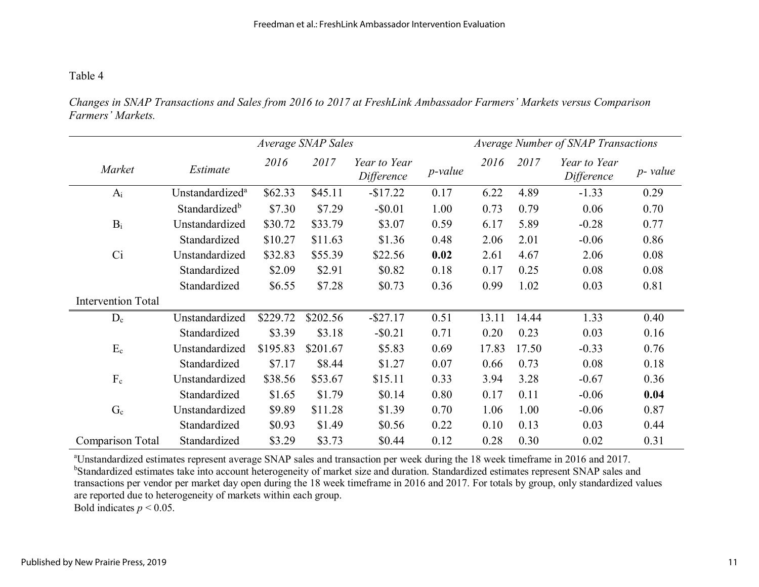*Changes in SNAP Transactions and Sales from 2016 to 2017 at FreshLink Ambassador Farmers' Markets versus Comparison Farmers' Markets.* 

|                           | Average SNAP Sales          |          |          |                            | Average Number of SNAP Transactions |       |       |                            |          |
|---------------------------|-----------------------------|----------|----------|----------------------------|-------------------------------------|-------|-------|----------------------------|----------|
| Market                    | Estimate                    | 2016     | 2017     | Year to Year<br>Difference | <i>p</i> -value                     | 2016  | 2017  | Year to Year<br>Difference | p- value |
| $A_i$                     | Unstandardized <sup>a</sup> | \$62.33  | \$45.11  | $-$17.22$                  | 0.17                                | 6.22  | 4.89  | $-1.33$                    | 0.29     |
|                           | Standardized <sup>b</sup>   | \$7.30   | \$7.29   | $-$ \$0.01                 | 1.00                                | 0.73  | 0.79  | 0.06                       | 0.70     |
| $B_i$                     | Unstandardized              | \$30.72  | \$33.79  | \$3.07                     | 0.59                                | 6.17  | 5.89  | $-0.28$                    | 0.77     |
|                           | Standardized                | \$10.27  | \$11.63  | \$1.36                     | 0.48                                | 2.06  | 2.01  | $-0.06$                    | 0.86     |
| Ci                        | Unstandardized              | \$32.83  | \$55.39  | \$22.56                    | 0.02                                | 2.61  | 4.67  | 2.06                       | 0.08     |
|                           | Standardized                | \$2.09   | \$2.91   | \$0.82                     | 0.18                                | 0.17  | 0.25  | 0.08                       | 0.08     |
|                           | Standardized                | \$6.55   | \$7.28   | \$0.73                     | 0.36                                | 0.99  | 1.02  | 0.03                       | 0.81     |
| <b>Intervention Total</b> |                             |          |          |                            |                                     |       |       |                            |          |
| $D_c$                     | Unstandardized              | \$229.72 | \$202.56 | $-$ \$27.17                | 0.51                                | 13.11 | 14.44 | 1.33                       | 0.40     |
|                           | Standardized                | \$3.39   | \$3.18   | $-$ \$0.21                 | 0.71                                | 0.20  | 0.23  | 0.03                       | 0.16     |
| $E_c$                     | Unstandardized              | \$195.83 | \$201.67 | \$5.83                     | 0.69                                | 17.83 | 17.50 | $-0.33$                    | 0.76     |
|                           | Standardized                | \$7.17   | \$8.44   | \$1.27                     | 0.07                                | 0.66  | 0.73  | 0.08                       | 0.18     |
| $F_c$                     | Unstandardized              | \$38.56  | \$53.67  | \$15.11                    | 0.33                                | 3.94  | 3.28  | $-0.67$                    | 0.36     |
|                           | Standardized                | \$1.65   | \$1.79   | \$0.14                     | 0.80                                | 0.17  | 0.11  | $-0.06$                    | 0.04     |
| $G_c$                     | Unstandardized              | \$9.89   | \$11.28  | \$1.39                     | 0.70                                | 1.06  | 1.00  | $-0.06$                    | 0.87     |
|                           | Standardized                | \$0.93   | \$1.49   | \$0.56                     | 0.22                                | 0.10  | 0.13  | 0.03                       | 0.44     |
| <b>Comparison Total</b>   | Standardized                | \$3.29   | \$3.73   | \$0.44                     | 0.12                                | 0.28  | 0.30  | 0.02                       | 0.31     |

a Unstandardized estimates represent average SNAP sales and transaction per week during the 18 week timeframe in 2016 and 2017. <sup>b</sup>Standardized estimates take into account heterogeneity of market size and duration. Standardized estimates represent SNAP sales and transactions per vendor per market day open during the 18 week timeframe in 2016 and 2017. For totals by group, only standardized values are reported due to heterogeneity of markets within each group. Bold indicates  $p < 0.05$ .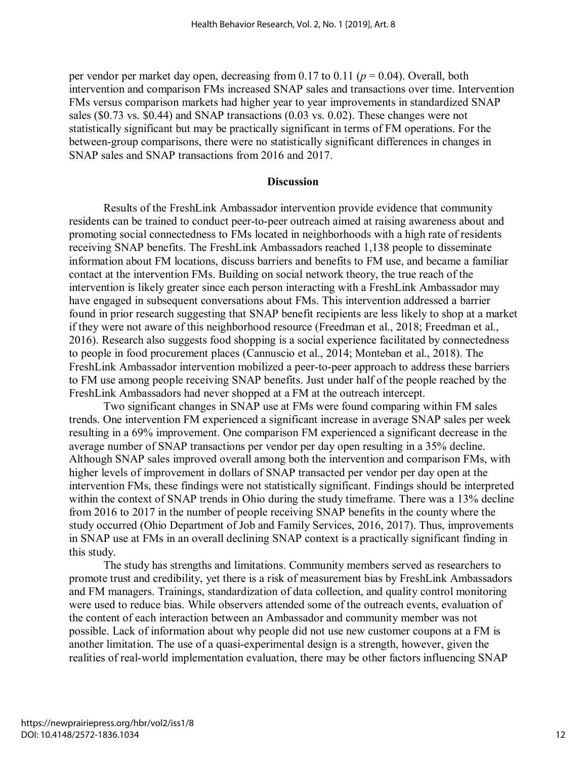per vendor per market day open, decreasing from 0.17 to 0.11 (*p* = 0.04). Overall, both intervention and comparison FMs increased SNAP sales and transactions over time. Intervention FMs versus comparison markets had higher year to year improvements in standardized SNAP sales (\$0.73 vs. \$0.44) and SNAP transactions (0.03 vs. 0.02). These changes were not statistically significant but may be practically significant in terms of FM operations. For the between-group comparisons, there were no statistically significant differences in changes in SNAP sales and SNAP transactions from 2016 and 2017.

#### **Discussion**

Results of the FreshLink Ambassador intervention provide evidence that community residents can be trained to conduct peer-to-peer outreach aimed at raising awareness about and promoting social connectedness to FMs located in neighborhoods with a high rate of residents receiving SNAP benefits. The FreshLink Ambassadors reached 1,138 people to disseminate information about FM locations, discuss barriers and benefits to FM use, and became a familiar contact at the intervention FMs. Building on social network theory, the true reach of the intervention is likely greater since each person interacting with a FreshLink Ambassador may have engaged in subsequent conversations about FMs. This intervention addressed a barrier found in prior research suggesting that SNAP benefit recipients are less likely to shop at a market if they were not aware of this neighborhood resource (Freedman et al., 2018; Freedman et al., 2016). Research also suggests food shopping is a social experience facilitated by connectedness to people in food procurement places (Cannuscio et al., 2014; Monteban et al., 2018). The FreshLink Ambassador intervention mobilized a peer-to-peer approach to address these barriers to FM use among people receiving SNAP benefits. Just under half of the people reached by the FreshLink Ambassadors had never shopped at a FM at the outreach intercept.

Two significant changes in SNAP use at FMs were found comparing within FM sales trends. One intervention FM experienced a significant increase in average SNAP sales per week resulting in a 69% improvement. One comparison FM experienced a significant decrease in the average number of SNAP transactions per vendor per day open resulting in a 35% decline. Although SNAP sales improved overall among both the intervention and comparison FMs, with higher levels of improvement in dollars of SNAP transacted per vendor per day open at the intervention FMs, these findings were not statistically significant. Findings should be interpreted within the context of SNAP trends in Ohio during the study timeframe. There was a 13% decline from 2016 to 2017 in the number of people receiving SNAP benefits in the county where the study occurred (Ohio Department of Job and Family Services, 2016, 2017). Thus, improvements in SNAP use at FMs in an overall declining SNAP context is a practically significant finding in this study.

The study has strengths and limitations. Community members served as researchers to promote trust and credibility, yet there is a risk of measurement bias by FreshLink Ambassadors and FM managers. Trainings, standardization of data collection, and quality control monitoring were used to reduce bias. While observers attended some of the outreach events, evaluation of the content of each interaction between an Ambassador and community member was not possible. Lack of information about why people did not use new customer coupons at a FM is another limitation. The use of a quasi-experimental design is a strength, however, given the realities of real-world implementation evaluation, there may be other factors influencing SNAP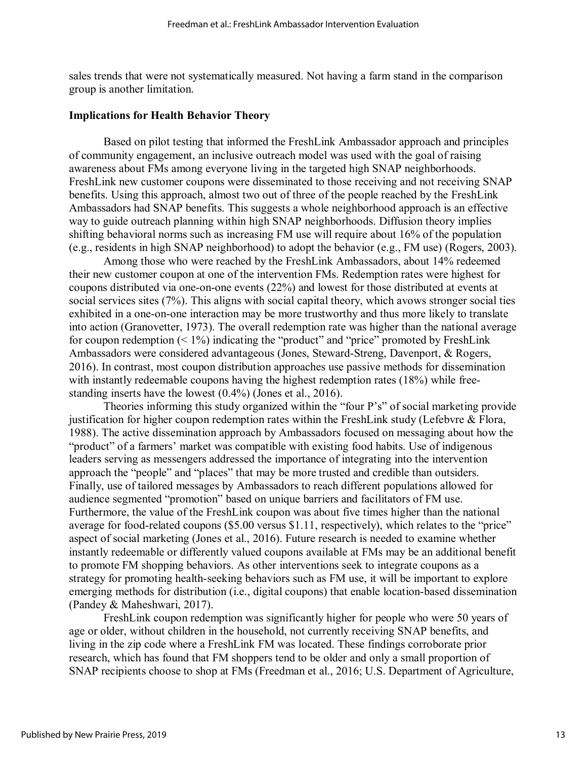sales trends that were not systematically measured. Not having a farm stand in the comparison group is another limitation.

#### **Implications for Health Behavior Theory**

Based on pilot testing that informed the FreshLink Ambassador approach and principles of community engagement, an inclusive outreach model was used with the goal of raising awareness about FMs among everyone living in the targeted high SNAP neighborhoods. FreshLink new customer coupons were disseminated to those receiving and not receiving SNAP benefits. Using this approach, almost two out of three of the people reached by the FreshLink Ambassadors had SNAP benefits. This suggests a whole neighborhood approach is an effective way to guide outreach planning within high SNAP neighborhoods. Diffusion theory implies shifting behavioral norms such as increasing FM use will require about 16% of the population (e.g., residents in high SNAP neighborhood) to adopt the behavior (e.g., FM use) (Rogers, 2003).

Among those who were reached by the FreshLink Ambassadors, about 14% redeemed their new customer coupon at one of the intervention FMs. Redemption rates were highest for coupons distributed via one-on-one events (22%) and lowest for those distributed at events at social services sites (7%). This aligns with social capital theory, which avows stronger social ties exhibited in a one-on-one interaction may be more trustworthy and thus more likely to translate into action (Granovetter, 1973). The overall redemption rate was higher than the national average for coupon redemption  $(1\%)$  indicating the "product" and "price" promoted by FreshLink Ambassadors were considered advantageous (Jones, Steward-Streng, Davenport, & Rogers, 2016). In contrast, most coupon distribution approaches use passive methods for dissemination with instantly redeemable coupons having the highest redemption rates (18%) while freestanding inserts have the lowest (0.4%) (Jones et al., 2016).

Theories informing this study organized within the "four P's" of social marketing provide justification for higher coupon redemption rates within the FreshLink study (Lefebvre & Flora, 1988). The active dissemination approach by Ambassadors focused on messaging about how the "product" of a farmers' market was compatible with existing food habits. Use of indigenous leaders serving as messengers addressed the importance of integrating into the intervention approach the "people" and "places" that may be more trusted and credible than outsiders. Finally, use of tailored messages by Ambassadors to reach different populations allowed for audience segmented "promotion" based on unique barriers and facilitators of FM use. Furthermore, the value of the FreshLink coupon was about five times higher than the national average for food-related coupons (\$5.00 versus \$1.11, respectively), which relates to the "price" aspect of social marketing (Jones et al., 2016). Future research is needed to examine whether instantly redeemable or differently valued coupons available at FMs may be an additional benefit to promote FM shopping behaviors. As other interventions seek to integrate coupons as a strategy for promoting health-seeking behaviors such as FM use, it will be important to explore emerging methods for distribution (i.e., digital coupons) that enable location-based dissemination (Pandey & Maheshwari, 2017).

FreshLink coupon redemption was significantly higher for people who were 50 years of age or older, without children in the household, not currently receiving SNAP benefits, and living in the zip code where a FreshLink FM was located. These findings corroborate prior research, which has found that FM shoppers tend to be older and only a small proportion of SNAP recipients choose to shop at FMs (Freedman et al., 2016; U.S. Department of Agriculture,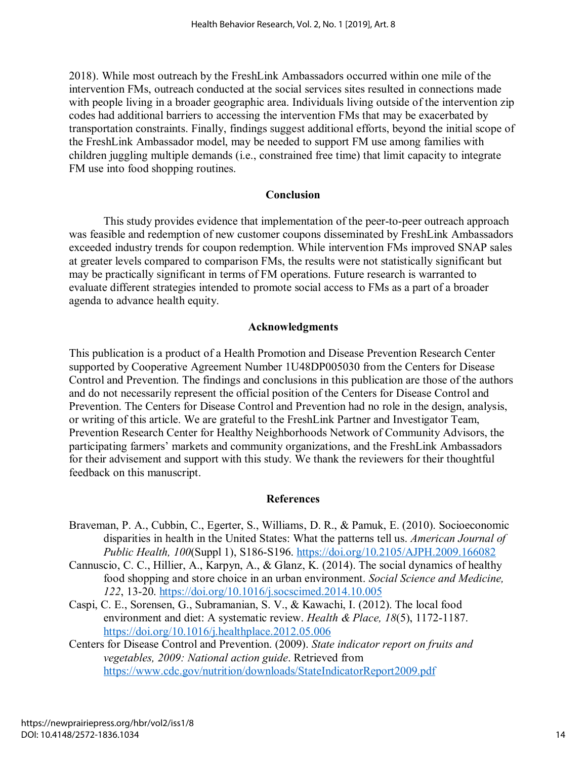2018). While most outreach by the FreshLink Ambassadors occurred within one mile of the intervention FMs, outreach conducted at the social services sites resulted in connections made with people living in a broader geographic area. Individuals living outside of the intervention zip codes had additional barriers to accessing the intervention FMs that may be exacerbated by transportation constraints. Finally, findings suggest additional efforts, beyond the initial scope of the FreshLink Ambassador model, may be needed to support FM use among families with children juggling multiple demands (i.e., constrained free time) that limit capacity to integrate FM use into food shopping routines.

### **Conclusion**

This study provides evidence that implementation of the peer-to-peer outreach approach was feasible and redemption of new customer coupons disseminated by FreshLink Ambassadors exceeded industry trends for coupon redemption. While intervention FMs improved SNAP sales at greater levels compared to comparison FMs, the results were not statistically significant but may be practically significant in terms of FM operations. Future research is warranted to evaluate different strategies intended to promote social access to FMs as a part of a broader agenda to advance health equity.

### **Acknowledgments**

This publication is a product of a Health Promotion and Disease Prevention Research Center supported by Cooperative Agreement Number 1U48DP005030 from the Centers for Disease Control and Prevention. The findings and conclusions in this publication are those of the authors and do not necessarily represent the official position of the Centers for Disease Control and Prevention. The Centers for Disease Control and Prevention had no role in the design, analysis, or writing of this article. We are grateful to the FreshLink Partner and Investigator Team, Prevention Research Center for Healthy Neighborhoods Network of Community Advisors, the participating farmers' markets and community organizations, and the FreshLink Ambassadors for their advisement and support with this study. We thank the reviewers for their thoughtful feedback on this manuscript.

### **References**

- Braveman, P. A., Cubbin, C., Egerter, S., Williams, D. R., & Pamuk, E. (2010). Socioeconomic disparities in health in the United States: What the patterns tell us. *American Journal of Public Health, 100*(Suppl 1), S186-S196.<https://doi.org/10.2105/AJPH.2009.166082>
- Cannuscio, C. C., Hillier, A., Karpyn, A., & Glanz, K. (2014). The social dynamics of healthy food shopping and store choice in an urban environment. *Social Science and Medicine, 122*, 13-20.<https://doi.org/10.1016/j.socscimed.2014.10.005>
- Caspi, C. E., Sorensen, G., Subramanian, S. V., & Kawachi, I. (2012). The local food environment and diet: A systematic review. *Health & Place, 18*(5), 1172-1187. <https://doi.org/10.1016/j.healthplace.2012.05.006>
- Centers for Disease Control and Prevention. (2009). *State indicator report on fruits and vegetables, 2009: National action guide*. Retrieved from <https://www.cdc.gov/nutrition/downloads/StateIndicatorReport2009.pdf>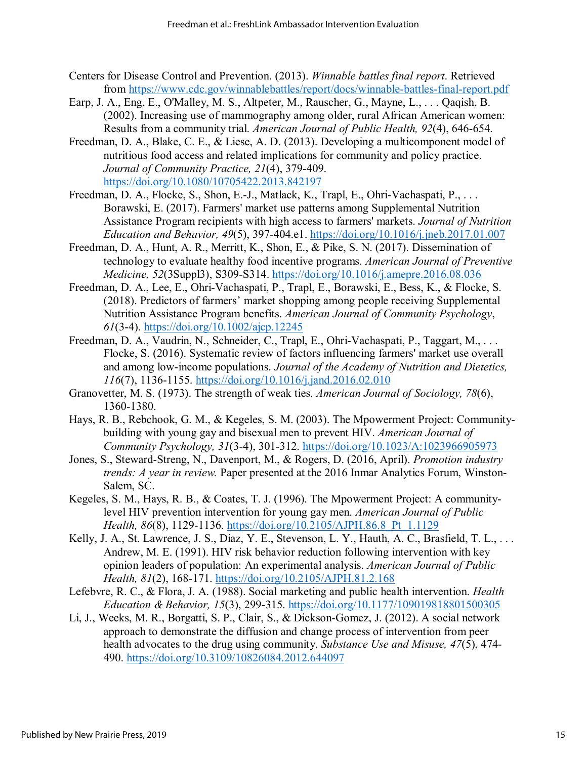- Centers for Disease Control and Prevention. (2013). *Winnable battles final report*. Retrieved from<https://www.cdc.gov/winnablebattles/report/docs/winnable-battles-final-report.pdf>
- Earp, J. A., Eng, E., O'Malley, M. S., Altpeter, M., Rauscher, G., Mayne, L., . . . Qaqish, B. (2002). Increasing use of mammography among older, rural African American women: Results from a community trial. *American Journal of Public Health, 92*(4), 646-654.
- Freedman, D. A., Blake, C. E., & Liese, A. D. (2013). Developing a multicomponent model of nutritious food access and related implications for community and policy practice. *Journal of Community Practice, 21*(4), 379-409. <https://doi.org/10.1080/10705422.2013.842197>
- Freedman, D. A., Flocke, S., Shon, E.-J., Matlack, K., Trapl, E., Ohri-Vachaspati, P., . . . Borawski, E. (2017). Farmers' market use patterns among Supplemental Nutrition Assistance Program recipients with high access to farmers' markets. *Journal of Nutrition Education and Behavior, 49*(5), 397-404.e1.<https://doi.org/10.1016/j.jneb.2017.01.007>
- Freedman, D. A., Hunt, A. R., Merritt, K., Shon, E., & Pike, S. N. (2017). Dissemination of technology to evaluate healthy food incentive programs. *American Journal of Preventive Medicine, 52*(3Suppl3), S309-S314.<https://doi.org/10.1016/j.amepre.2016.08.036>
- Freedman, D. A., Lee, E., Ohri-Vachaspati, P., Trapl, E., Borawski, E., Bess, K., & Flocke, S. (2018). Predictors of farmers' market shopping among people receiving Supplemental Nutrition Assistance Program benefits. *American Journal of Community Psychology*, *61*(3-4).<https://doi.org/10.1002/ajcp.12245>
- Freedman, D. A., Vaudrin, N., Schneider, C., Trapl, E., Ohri-Vachaspati, P., Taggart, M., . . . Flocke, S. (2016). Systematic review of factors influencing farmers' market use overall and among low-income populations. *Journal of the Academy of Nutrition and Dietetics, 116*(7), 1136-1155.<https://doi.org/10.1016/j.jand.2016.02.010>
- Granovetter, M. S. (1973). The strength of weak ties. *American Journal of Sociology, 78*(6), 1360-1380.
- Hays, R. B., Rebchook, G. M., & Kegeles, S. M. (2003). The Mpowerment Project: Communitybuilding with young gay and bisexual men to prevent HIV. *American Journal of Community Psychology, 31*(3-4), 301-312.<https://doi.org/10.1023/A:1023966905973>
- Jones, S., Steward-Streng, N., Davenport, M., & Rogers, D. (2016, April). *Promotion industry trends: A year in review.* Paper presented at the 2016 Inmar Analytics Forum, Winston-Salem, SC.
- Kegeles, S. M., Hays, R. B., & Coates, T. J. (1996). The Mpowerment Project: A communitylevel HIV prevention intervention for young gay men. *American Journal of Public Health, 86*(8), 1129-1136. [https://doi.org/10.2105/AJPH.86.8\\_Pt\\_1.1129](https://doi.org/10.2105/AJPH.86.8_Pt_1.1129)
- Kelly, J. A., St. Lawrence, J. S., Diaz, Y. E., Stevenson, L. Y., Hauth, A. C., Brasfield, T. L., . . . Andrew, M. E. (1991). HIV risk behavior reduction following intervention with key opinion leaders of population: An experimental analysis. *American Journal of Public Health, 81*(2), 168-171.<https://doi.org/10.2105/AJPH.81.2.168>
- Lefebvre, R. C., & Flora, J. A. (1988). Social marketing and public health intervention. *Health Education & Behavior, 15*(3), 299-315.<https://doi.org/10.1177/109019818801500305>
- Li, J., Weeks, M. R., Borgatti, S. P., Clair, S., & Dickson-Gomez, J. (2012). A social network approach to demonstrate the diffusion and change process of intervention from peer health advocates to the drug using community. *Substance Use and Misuse, 47*(5), 474- 490.<https://doi.org/10.3109/10826084.2012.644097>